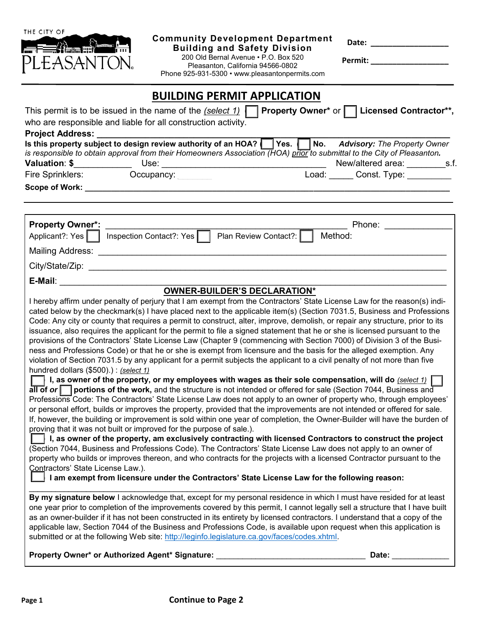| THE CITY OF<br><b>Community Development Department</b><br>Date: ____________________<br><b>Building and Safety Division</b><br>200 Old Bernal Avenue . P.O. Box 520<br>Permit: New York Permit:<br>PLEASANTON.<br>Pleasanton, California 94566-0802<br>Phone 925-931-5300 • www.pleasantonpermits.com                                                                                                                                                                                                                                                                                                                                                                                                                                                                                                                                                                                                                                                                                                                                                                                                                                                                                                                                                                                                                                                                                                                                                                                                                                                                                                                                                                                                                                                                                                                                                                                                                                                                                                                                                                                                                                                                                                                                                                                                                                                                                                                                                                                                                                                                         |  |
|-------------------------------------------------------------------------------------------------------------------------------------------------------------------------------------------------------------------------------------------------------------------------------------------------------------------------------------------------------------------------------------------------------------------------------------------------------------------------------------------------------------------------------------------------------------------------------------------------------------------------------------------------------------------------------------------------------------------------------------------------------------------------------------------------------------------------------------------------------------------------------------------------------------------------------------------------------------------------------------------------------------------------------------------------------------------------------------------------------------------------------------------------------------------------------------------------------------------------------------------------------------------------------------------------------------------------------------------------------------------------------------------------------------------------------------------------------------------------------------------------------------------------------------------------------------------------------------------------------------------------------------------------------------------------------------------------------------------------------------------------------------------------------------------------------------------------------------------------------------------------------------------------------------------------------------------------------------------------------------------------------------------------------------------------------------------------------------------------------------------------------------------------------------------------------------------------------------------------------------------------------------------------------------------------------------------------------------------------------------------------------------------------------------------------------------------------------------------------------------------------------------------------------------------------------------------------------|--|
| <b>BUILDING PERMIT APPLICATION</b><br>This permit is to be issued in the name of the (select 1) $\Box$ Property Owner* or $\Box$ Licensed Contractor**,<br>who are responsible and liable for all construction activity.<br>Project Address: National Project Address:<br>Is this property subject to design review authority of an HOA?   Yes.   No.<br><b>Advisory: The Property Owner</b><br>is responsible to obtain approval from their Homeowners Association (HOA) prior to submittal to the City of Pleasanton.<br>Load: ______ Const. Type: ________<br>Fire Sprinklers: Occupancy:                                                                                                                                                                                                                                                                                                                                                                                                                                                                                                                                                                                                                                                                                                                                                                                                                                                                                                                                                                                                                                                                                                                                                                                                                                                                                                                                                                                                                                                                                                                                                                                                                                                                                                                                                                                                                                                                                                                                                                                  |  |
| <b>Property Owner*:</b><br>Phone: the contract of the contract of the contract of the contract of the contract of the contract of the contract of the contract of the contract of the contract of the contract of the contract of the contract of the con<br>Inspection Contact?: Yes<br>Plan Review Contact?:<br>Applicant?: Yes  <br>Method:                                                                                                                                                                                                                                                                                                                                                                                                                                                                                                                                                                                                                                                                                                                                                                                                                                                                                                                                                                                                                                                                                                                                                                                                                                                                                                                                                                                                                                                                                                                                                                                                                                                                                                                                                                                                                                                                                                                                                                                                                                                                                                                                                                                                                                |  |
| OWNER-BUILDER'S DECLARATION*<br>I hereby affirm under penalty of perjury that I am exempt from the Contractors' State License Law for the reason(s) indi-<br>cated below by the checkmark(s) I have placed next to the applicable item(s) (Section 7031.5, Business and Professions<br>Code: Any city or county that requires a permit to construct, alter, improve, demolish, or repair any structure, prior to its<br>issuance, also requires the applicant for the permit to file a signed statement that he or she is licensed pursuant to the<br>provisions of the Contractors' State License Law (Chapter 9 (commencing with Section 7000) of Division 3 of the Busi-<br>ness and Professions Code) or that he or she is exempt from licensure and the basis for the alleged exemption. Any<br>violation of Section 7031.5 by any applicant for a permit subjects the applicant to a civil penalty of not more than five<br>hundred dollars (\$500).) : (select 1)<br>$\Box$ I, as owner of the property, or my employees with wages as their sole compensation, will do <u>(select 1)</u> $\Box$<br>all of or portions of the work, and the structure is not intended or offered for sale (Section 7044, Business and<br>Professions Code: The Contractors' State License Law does not apply to an owner of property who, through employees'<br>or personal effort, builds or improves the property, provided that the improvements are not intended or offered for sale.<br>If, however, the building or improvement is sold within one year of completion, the Owner-Builder will have the burden of<br>proving that it was not built or improved for the purpose of sale.).<br>I, as owner of the property, am exclusively contracting with licensed Contractors to construct the project<br>(Section 7044, Business and Professions Code). The Contractors' State License Law does not apply to an owner of<br>property who builds or improves thereon, and who contracts for the projects with a licensed Contractor pursuant to the<br>Contractors' State License Law.).<br>I am exempt from licensure under the Contractors' State License Law for the following reason:<br>By my signature below I acknowledge that, except for my personal residence in which I must have resided for at least<br>one year prior to completion of the improvements covered by this permit, I cannot legally sell a structure that I have built<br>as an owner-builder if it has not been constructed in its entirety by licensed contractors. I understand that a copy of the |  |
| applicable law, Section 7044 of the Business and Professions Code, is available upon request when this application is<br>submitted or at the following Web site: http://leginfo.legislature.ca.gov/faces/codes.xhtml.<br>Property Owner* or Authorized Agent* Signature:<br><u> 1989 - Johann Barbara, martin amerikan basa</u><br>Date:                                                                                                                                                                                                                                                                                                                                                                                                                                                                                                                                                                                                                                                                                                                                                                                                                                                                                                                                                                                                                                                                                                                                                                                                                                                                                                                                                                                                                                                                                                                                                                                                                                                                                                                                                                                                                                                                                                                                                                                                                                                                                                                                                                                                                                      |  |